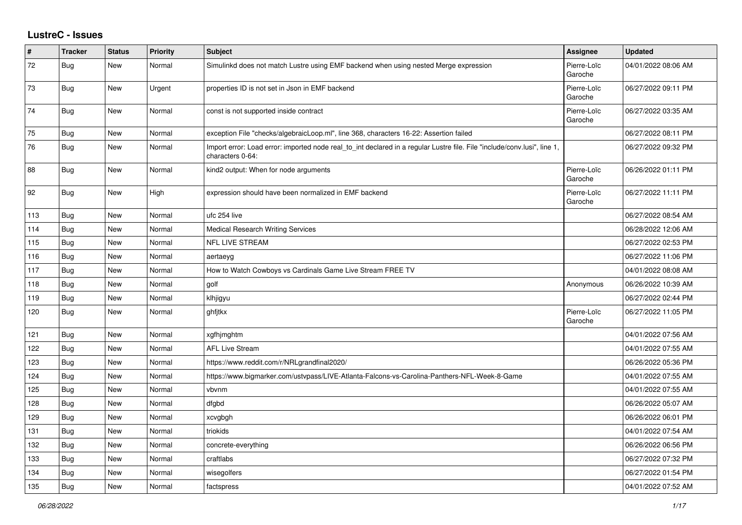## **LustreC - Issues**

| $\sharp$ | <b>Tracker</b> | <b>Status</b> | <b>Priority</b> | <b>Subject</b>                                                                                                                               | <b>Assignee</b>        | <b>Updated</b>      |
|----------|----------------|---------------|-----------------|----------------------------------------------------------------------------------------------------------------------------------------------|------------------------|---------------------|
| 72       | Bug            | <b>New</b>    | Normal          | Simulinkd does not match Lustre using EMF backend when using nested Merge expression                                                         | Pierre-Loïc<br>Garoche | 04/01/2022 08:06 AM |
| 73       | Bug            | New           | Urgent          | properties ID is not set in Json in EMF backend                                                                                              | Pierre-Loïc<br>Garoche | 06/27/2022 09:11 PM |
| 74       | Bug            | New           | Normal          | const is not supported inside contract                                                                                                       | Pierre-Loïc<br>Garoche | 06/27/2022 03:35 AM |
| 75       | Bug            | <b>New</b>    | Normal          | exception File "checks/algebraicLoop.ml", line 368, characters 16-22: Assertion failed                                                       |                        | 06/27/2022 08:11 PM |
| 76       | Bug            | New           | Normal          | Import error: Load error: imported node real_to_int declared in a regular Lustre file. File "include/conv.lusi", line 1,<br>characters 0-64: |                        | 06/27/2022 09:32 PM |
| 88       | Bug            | <b>New</b>    | Normal          | kind2 output: When for node arguments                                                                                                        | Pierre-Loïc<br>Garoche | 06/26/2022 01:11 PM |
| 92       | Bug            | New           | High            | expression should have been normalized in EMF backend                                                                                        | Pierre-Loïc<br>Garoche | 06/27/2022 11:11 PM |
| 113      | Bug            | New           | Normal          | ufc 254 live                                                                                                                                 |                        | 06/27/2022 08:54 AM |
| 114      | <b>Bug</b>     | <b>New</b>    | Normal          | <b>Medical Research Writing Services</b>                                                                                                     |                        | 06/28/2022 12:06 AM |
| 115      | Bug            | <b>New</b>    | Normal          | <b>NFL LIVE STREAM</b>                                                                                                                       |                        | 06/27/2022 02:53 PM |
| 116      | Bug            | <b>New</b>    | Normal          | aertaeyg                                                                                                                                     |                        | 06/27/2022 11:06 PM |
| 117      | Bug            | New           | Normal          | How to Watch Cowboys vs Cardinals Game Live Stream FREE TV                                                                                   |                        | 04/01/2022 08:08 AM |
| 118      | Bug            | New           | Normal          | golf                                                                                                                                         | Anonymous              | 06/26/2022 10:39 AM |
| 119      | Bug            | <b>New</b>    | Normal          | klhjigyu                                                                                                                                     |                        | 06/27/2022 02:44 PM |
| 120      | <b>Bug</b>     | <b>New</b>    | Normal          | ghfitkx                                                                                                                                      | Pierre-Loïc<br>Garoche | 06/27/2022 11:05 PM |
| 121      | Bug            | New           | Normal          | xgfhjmghtm                                                                                                                                   |                        | 04/01/2022 07:56 AM |
| 122      | Bug            | <b>New</b>    | Normal          | <b>AFL Live Stream</b>                                                                                                                       |                        | 04/01/2022 07:55 AM |
| 123      | Bug            | New           | Normal          | https://www.reddit.com/r/NRLgrandfinal2020/                                                                                                  |                        | 06/26/2022 05:36 PM |
| 124      | Bug            | New           | Normal          | https://www.bigmarker.com/ustvpass/LIVE-Atlanta-Falcons-vs-Carolina-Panthers-NFL-Week-8-Game                                                 |                        | 04/01/2022 07:55 AM |
| 125      | Bug            | <b>New</b>    | Normal          | vbvnm                                                                                                                                        |                        | 04/01/2022 07:55 AM |
| 128      | Bug            | New           | Normal          | dfgbd                                                                                                                                        |                        | 06/26/2022 05:07 AM |
| 129      | <b>Bug</b>     | <b>New</b>    | Normal          | xcvgbgh                                                                                                                                      |                        | 06/26/2022 06:01 PM |
| 131      | <b>Bug</b>     | <b>New</b>    | Normal          | triokids                                                                                                                                     |                        | 04/01/2022 07:54 AM |
| 132      | Bug            | <b>New</b>    | Normal          | concrete-everything                                                                                                                          |                        | 06/26/2022 06:56 PM |
| 133      | Bug            | <b>New</b>    | Normal          | craftlabs                                                                                                                                    |                        | 06/27/2022 07:32 PM |
| 134      | Bug            | <b>New</b>    | Normal          | wisegolfers                                                                                                                                  |                        | 06/27/2022 01:54 PM |
| 135      | <b>Bug</b>     | New           | Normal          | factspress                                                                                                                                   |                        | 04/01/2022 07:52 AM |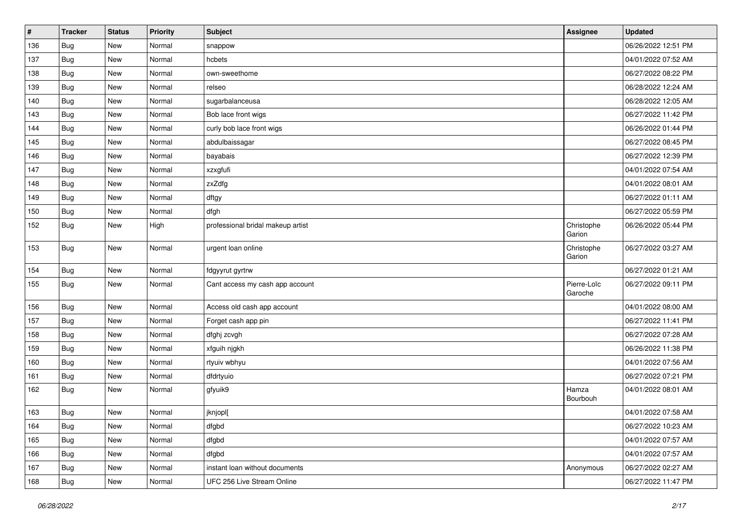| #   | <b>Tracker</b> | <b>Status</b> | <b>Priority</b> | <b>Subject</b>                    | Assignee               | <b>Updated</b>      |
|-----|----------------|---------------|-----------------|-----------------------------------|------------------------|---------------------|
| 136 | Bug            | New           | Normal          | snappow                           |                        | 06/26/2022 12:51 PM |
| 137 | <b>Bug</b>     | New           | Normal          | hcbets                            |                        | 04/01/2022 07:52 AM |
| 138 | Bug            | New           | Normal          | own-sweethome                     |                        | 06/27/2022 08:22 PM |
| 139 | Bug            | <b>New</b>    | Normal          | relseo                            |                        | 06/28/2022 12:24 AM |
| 140 | <b>Bug</b>     | New           | Normal          | sugarbalanceusa                   |                        | 06/28/2022 12:05 AM |
| 143 | Bug            | New           | Normal          | Bob lace front wigs               |                        | 06/27/2022 11:42 PM |
| 144 | Bug            | <b>New</b>    | Normal          | curly bob lace front wigs         |                        | 06/26/2022 01:44 PM |
| 145 | Bug            | New           | Normal          | abdulbaissagar                    |                        | 06/27/2022 08:45 PM |
| 146 | Bug            | New           | Normal          | bayabais                          |                        | 06/27/2022 12:39 PM |
| 147 | <b>Bug</b>     | <b>New</b>    | Normal          | xzxgfufi                          |                        | 04/01/2022 07:54 AM |
| 148 | Bug            | New           | Normal          | zxZdfg                            |                        | 04/01/2022 08:01 AM |
| 149 | Bug            | New           | Normal          | dftgy                             |                        | 06/27/2022 01:11 AM |
| 150 | Bug            | New           | Normal          | dfgh                              |                        | 06/27/2022 05:59 PM |
| 152 | <b>Bug</b>     | New           | High            | professional bridal makeup artist | Christophe<br>Garion   | 06/26/2022 05:44 PM |
| 153 | <b>Bug</b>     | New           | Normal          | urgent loan online                | Christophe<br>Garion   | 06/27/2022 03:27 AM |
| 154 | Bug            | New           | Normal          | fdgyyrut gyrtrw                   |                        | 06/27/2022 01:21 AM |
| 155 | Bug            | New           | Normal          | Cant access my cash app account   | Pierre-Loïc<br>Garoche | 06/27/2022 09:11 PM |
| 156 | Bug            | New           | Normal          | Access old cash app account       |                        | 04/01/2022 08:00 AM |
| 157 | <b>Bug</b>     | New           | Normal          | Forget cash app pin               |                        | 06/27/2022 11:41 PM |
| 158 | Bug            | New           | Normal          | dfghj zcvgh                       |                        | 06/27/2022 07:28 AM |
| 159 | Bug            | New           | Normal          | xfguih njgkh                      |                        | 06/26/2022 11:38 PM |
| 160 | Bug            | New           | Normal          | rtyuiv wbhyu                      |                        | 04/01/2022 07:56 AM |
| 161 | <b>Bug</b>     | New           | Normal          | dfdrtyuio                         |                        | 06/27/2022 07:21 PM |
| 162 | Bug            | New           | Normal          | gfyuik9                           | Hamza<br>Bourbouh      | 04/01/2022 08:01 AM |
| 163 | Bug            | New           | Normal          | jknjopl[                          |                        | 04/01/2022 07:58 AM |
| 164 | Bug            | New           | Normal          | dfgbd                             |                        | 06/27/2022 10:23 AM |
| 165 | <b>Bug</b>     | New           | Normal          | dfgbd                             |                        | 04/01/2022 07:57 AM |
| 166 | <b>Bug</b>     | New           | Normal          | dfgbd                             |                        | 04/01/2022 07:57 AM |
| 167 | <b>Bug</b>     | New           | Normal          | instant loan without documents    | Anonymous              | 06/27/2022 02:27 AM |
| 168 | <b>Bug</b>     | New           | Normal          | UFC 256 Live Stream Online        |                        | 06/27/2022 11:47 PM |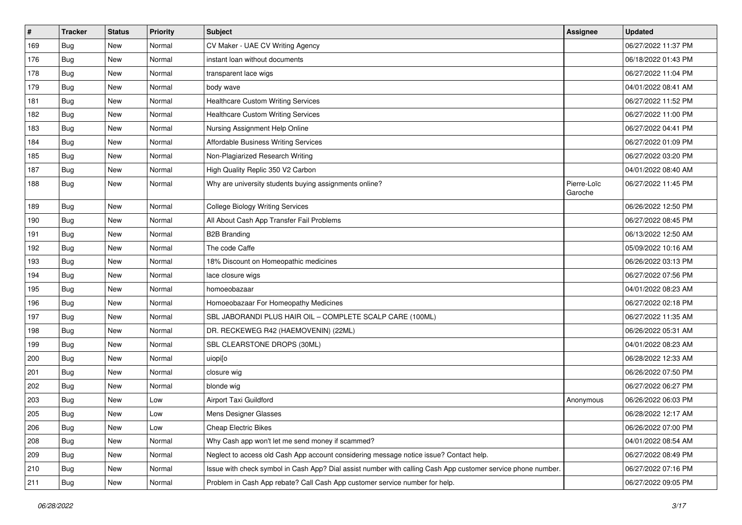| #   | <b>Tracker</b> | <b>Status</b> | <b>Priority</b> | <b>Subject</b>                                                                                               | <b>Assignee</b>        | <b>Updated</b>      |
|-----|----------------|---------------|-----------------|--------------------------------------------------------------------------------------------------------------|------------------------|---------------------|
| 169 | Bug            | <b>New</b>    | Normal          | CV Maker - UAE CV Writing Agency                                                                             |                        | 06/27/2022 11:37 PM |
| 176 | Bug            | <b>New</b>    | Normal          | instant loan without documents                                                                               |                        | 06/18/2022 01:43 PM |
| 178 | Bug            | New           | Normal          | transparent lace wigs                                                                                        |                        | 06/27/2022 11:04 PM |
| 179 | Bug            | <b>New</b>    | Normal          | body wave                                                                                                    |                        | 04/01/2022 08:41 AM |
| 181 | Bug            | <b>New</b>    | Normal          | <b>Healthcare Custom Writing Services</b>                                                                    |                        | 06/27/2022 11:52 PM |
| 182 | Bug            | <b>New</b>    | Normal          | <b>Healthcare Custom Writing Services</b>                                                                    |                        | 06/27/2022 11:00 PM |
| 183 | Bug            | <b>New</b>    | Normal          | Nursing Assignment Help Online                                                                               |                        | 06/27/2022 04:41 PM |
| 184 | Bug            | <b>New</b>    | Normal          | Affordable Business Writing Services                                                                         |                        | 06/27/2022 01:09 PM |
| 185 | Bug            | <b>New</b>    | Normal          | Non-Plagiarized Research Writing                                                                             |                        | 06/27/2022 03:20 PM |
| 187 | Bug            | <b>New</b>    | Normal          | High Quality Replic 350 V2 Carbon                                                                            |                        | 04/01/2022 08:40 AM |
| 188 | Bug            | New           | Normal          | Why are university students buying assignments online?                                                       | Pierre-Loïc<br>Garoche | 06/27/2022 11:45 PM |
| 189 | <b>Bug</b>     | New           | Normal          | <b>College Biology Writing Services</b>                                                                      |                        | 06/26/2022 12:50 PM |
| 190 | Bug            | <b>New</b>    | Normal          | All About Cash App Transfer Fail Problems                                                                    |                        | 06/27/2022 08:45 PM |
| 191 | Bug            | <b>New</b>    | Normal          | <b>B2B Branding</b>                                                                                          |                        | 06/13/2022 12:50 AM |
| 192 | Bug            | <b>New</b>    | Normal          | The code Caffe                                                                                               |                        | 05/09/2022 10:16 AM |
| 193 | Bug            | <b>New</b>    | Normal          | 18% Discount on Homeopathic medicines                                                                        |                        | 06/26/2022 03:13 PM |
| 194 | <b>Bug</b>     | <b>New</b>    | Normal          | lace closure wigs                                                                                            |                        | 06/27/2022 07:56 PM |
| 195 | Bug            | <b>New</b>    | Normal          | homoeobazaar                                                                                                 |                        | 04/01/2022 08:23 AM |
| 196 | Bug            | <b>New</b>    | Normal          | Homoeobazaar For Homeopathy Medicines                                                                        |                        | 06/27/2022 02:18 PM |
| 197 | Bug            | <b>New</b>    | Normal          | SBL JABORANDI PLUS HAIR OIL - COMPLETE SCALP CARE (100ML)                                                    |                        | 06/27/2022 11:35 AM |
| 198 | Bug            | <b>New</b>    | Normal          | DR. RECKEWEG R42 (HAEMOVENIN) (22ML)                                                                         |                        | 06/26/2022 05:31 AM |
| 199 | Bug            | <b>New</b>    | Normal          | SBL CLEARSTONE DROPS (30ML)                                                                                  |                        | 04/01/2022 08:23 AM |
| 200 | Bug            | <b>New</b>    | Normal          | uiopi[o                                                                                                      |                        | 06/28/2022 12:33 AM |
| 201 | Bug            | <b>New</b>    | Normal          | closure wig                                                                                                  |                        | 06/26/2022 07:50 PM |
| 202 | Bug            | <b>New</b>    | Normal          | blonde wig                                                                                                   |                        | 06/27/2022 06:27 PM |
| 203 | Bug            | New           | Low             | Airport Taxi Guildford                                                                                       | Anonymous              | 06/26/2022 06:03 PM |
| 205 | Bug            | New           | Low             | Mens Designer Glasses                                                                                        |                        | 06/28/2022 12:17 AM |
| 206 | <b>Bug</b>     | New           | Low             | <b>Cheap Electric Bikes</b>                                                                                  |                        | 06/26/2022 07:00 PM |
| 208 | <b>Bug</b>     | New           | Normal          | Why Cash app won't let me send money if scammed?                                                             |                        | 04/01/2022 08:54 AM |
| 209 | <b>Bug</b>     | New           | Normal          | Neglect to access old Cash App account considering message notice issue? Contact help.                       |                        | 06/27/2022 08:49 PM |
| 210 | <b>Bug</b>     | New           | Normal          | Issue with check symbol in Cash App? Dial assist number with calling Cash App customer service phone number. |                        | 06/27/2022 07:16 PM |
| 211 | Bug            | New           | Normal          | Problem in Cash App rebate? Call Cash App customer service number for help.                                  |                        | 06/27/2022 09:05 PM |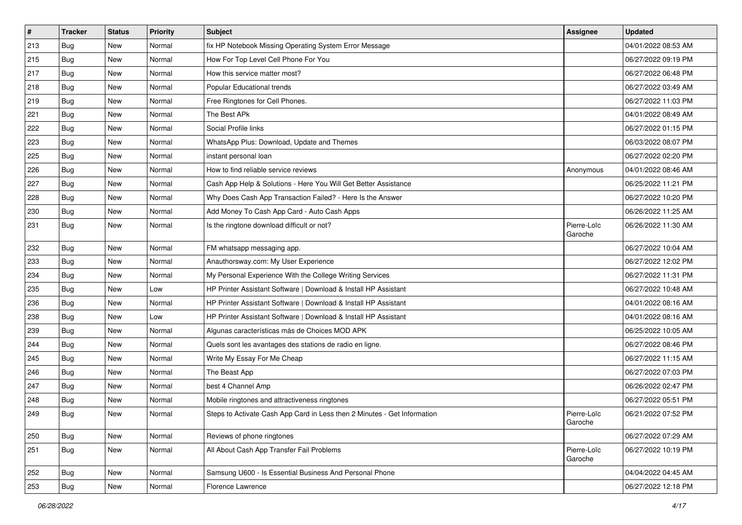| $\pmb{\#}$ | <b>Tracker</b> | <b>Status</b> | <b>Priority</b> | <b>Subject</b>                                                           | <b>Assignee</b>        | <b>Updated</b>      |
|------------|----------------|---------------|-----------------|--------------------------------------------------------------------------|------------------------|---------------------|
| 213        | <b>Bug</b>     | <b>New</b>    | Normal          | fix HP Notebook Missing Operating System Error Message                   |                        | 04/01/2022 08:53 AM |
| 215        | Bug            | <b>New</b>    | Normal          | How For Top Level Cell Phone For You                                     |                        | 06/27/2022 09:19 PM |
| 217        | Bug            | <b>New</b>    | Normal          | How this service matter most?                                            |                        | 06/27/2022 06:48 PM |
| 218        | Bug            | New           | Normal          | Popular Educational trends                                               |                        | 06/27/2022 03:49 AM |
| 219        | Bug            | <b>New</b>    | Normal          | Free Ringtones for Cell Phones.                                          |                        | 06/27/2022 11:03 PM |
| 221        | Bug            | <b>New</b>    | Normal          | The Best APk                                                             |                        | 04/01/2022 08:49 AM |
| 222        | <b>Bug</b>     | <b>New</b>    | Normal          | Social Profile links                                                     |                        | 06/27/2022 01:15 PM |
| 223        | Bug            | New           | Normal          | WhatsApp Plus: Download, Update and Themes                               |                        | 06/03/2022 08:07 PM |
| 225        | Bug            | <b>New</b>    | Normal          | instant personal loan                                                    |                        | 06/27/2022 02:20 PM |
| 226        | Bug            | <b>New</b>    | Normal          | How to find reliable service reviews                                     | Anonymous              | 04/01/2022 08:46 AM |
| 227        | Bug            | <b>New</b>    | Normal          | Cash App Help & Solutions - Here You Will Get Better Assistance          |                        | 06/25/2022 11:21 PM |
| 228        | Bug            | <b>New</b>    | Normal          | Why Does Cash App Transaction Failed? - Here Is the Answer               |                        | 06/27/2022 10:20 PM |
| 230        | Bug            | <b>New</b>    | Normal          | Add Money To Cash App Card - Auto Cash Apps                              |                        | 06/26/2022 11:25 AM |
| 231        | Bug            | New           | Normal          | Is the ringtone download difficult or not?                               | Pierre-Loïc<br>Garoche | 06/26/2022 11:30 AM |
| 232        | Bug            | New           | Normal          | FM whatsapp messaging app.                                               |                        | 06/27/2022 10:04 AM |
| 233        | Bug            | <b>New</b>    | Normal          | Anauthorsway.com: My User Experience                                     |                        | 06/27/2022 12:02 PM |
| 234        | Bug            | <b>New</b>    | Normal          | My Personal Experience With the College Writing Services                 |                        | 06/27/2022 11:31 PM |
| 235        | Bug            | <b>New</b>    | Low             | HP Printer Assistant Software   Download & Install HP Assistant          |                        | 06/27/2022 10:48 AM |
| 236        | Bug            | <b>New</b>    | Normal          | HP Printer Assistant Software   Download & Install HP Assistant          |                        | 04/01/2022 08:16 AM |
| 238        | Bug            | <b>New</b>    | Low             | HP Printer Assistant Software   Download & Install HP Assistant          |                        | 04/01/2022 08:16 AM |
| 239        | Bug            | <b>New</b>    | Normal          | Algunas características más de Choices MOD APK                           |                        | 06/25/2022 10:05 AM |
| 244        | Bug            | <b>New</b>    | Normal          | Quels sont les avantages des stations de radio en ligne.                 |                        | 06/27/2022 08:46 PM |
| 245        | Bug            | New           | Normal          | Write My Essay For Me Cheap                                              |                        | 06/27/2022 11:15 AM |
| 246        | Bug            | <b>New</b>    | Normal          | The Beast App                                                            |                        | 06/27/2022 07:03 PM |
| 247        | Bug            | New           | Normal          | best 4 Channel Amp                                                       |                        | 06/26/2022 02:47 PM |
| 248        | Bug            | <b>New</b>    | Normal          | Mobile ringtones and attractiveness ringtones                            |                        | 06/27/2022 05:51 PM |
| 249        | Bug            | <b>New</b>    | Normal          | Steps to Activate Cash App Card in Less then 2 Minutes - Get Information | Pierre-Loïc<br>Garoche | 06/21/2022 07:52 PM |
| 250        | Bug            | New           | Normal          | Reviews of phone ringtones                                               |                        | 06/27/2022 07:29 AM |
| 251        | Bug            | New           | Normal          | All About Cash App Transfer Fail Problems                                | Pierre-Loïc<br>Garoche | 06/27/2022 10:19 PM |
| 252        | Bug            | New           | Normal          | Samsung U600 - Is Essential Business And Personal Phone                  |                        | 04/04/2022 04:45 AM |
| 253        | Bug            | New           | Normal          | Florence Lawrence                                                        |                        | 06/27/2022 12:18 PM |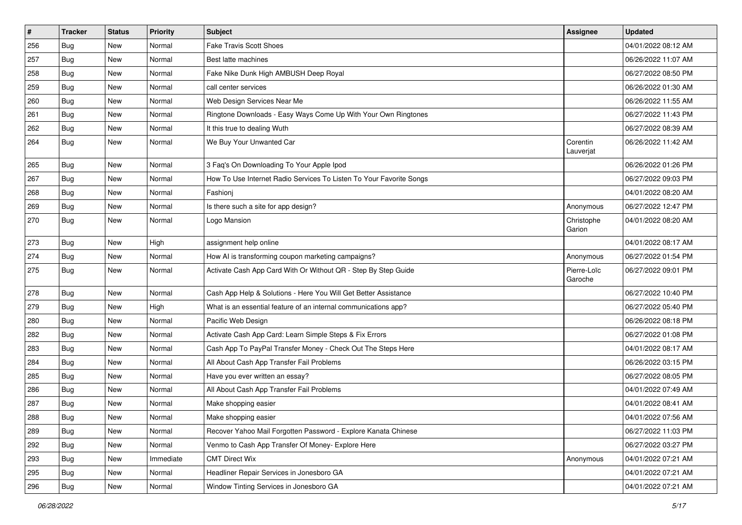| $\sharp$ | <b>Tracker</b> | <b>Status</b> | Priority  | Subject                                                             | <b>Assignee</b>        | <b>Updated</b>      |
|----------|----------------|---------------|-----------|---------------------------------------------------------------------|------------------------|---------------------|
| 256      | <b>Bug</b>     | <b>New</b>    | Normal    | <b>Fake Travis Scott Shoes</b>                                      |                        | 04/01/2022 08:12 AM |
| 257      | Bug            | <b>New</b>    | Normal    | Best latte machines                                                 |                        | 06/26/2022 11:07 AM |
| 258      | Bug            | <b>New</b>    | Normal    | Fake Nike Dunk High AMBUSH Deep Royal                               |                        | 06/27/2022 08:50 PM |
| 259      | Bug            | <b>New</b>    | Normal    | call center services                                                |                        | 06/26/2022 01:30 AM |
| 260      | <b>Bug</b>     | New           | Normal    | Web Design Services Near Me                                         |                        | 06/26/2022 11:55 AM |
| 261      | Bug            | <b>New</b>    | Normal    | Ringtone Downloads - Easy Ways Come Up With Your Own Ringtones      |                        | 06/27/2022 11:43 PM |
| 262      | Bug            | <b>New</b>    | Normal    | It this true to dealing Wuth                                        |                        | 06/27/2022 08:39 AM |
| 264      | Bug            | <b>New</b>    | Normal    | We Buy Your Unwanted Car                                            | Corentin<br>Lauverjat  | 06/26/2022 11:42 AM |
| 265      | Bug            | <b>New</b>    | Normal    | 3 Faq's On Downloading To Your Apple Ipod                           |                        | 06/26/2022 01:26 PM |
| 267      | Bug            | <b>New</b>    | Normal    | How To Use Internet Radio Services To Listen To Your Favorite Songs |                        | 06/27/2022 09:03 PM |
| 268      | Bug            | <b>New</b>    | Normal    | Fashionj                                                            |                        | 04/01/2022 08:20 AM |
| 269      | Bug            | <b>New</b>    | Normal    | Is there such a site for app design?                                | Anonymous              | 06/27/2022 12:47 PM |
| 270      | Bug            | <b>New</b>    | Normal    | Logo Mansion                                                        | Christophe<br>Garion   | 04/01/2022 08:20 AM |
| 273      | Bug            | <b>New</b>    | High      | assignment help online                                              |                        | 04/01/2022 08:17 AM |
| 274      | Bug            | <b>New</b>    | Normal    | How AI is transforming coupon marketing campaigns?                  | Anonymous              | 06/27/2022 01:54 PM |
| 275      | <b>Bug</b>     | <b>New</b>    | Normal    | Activate Cash App Card With Or Without QR - Step By Step Guide      | Pierre-Loïc<br>Garoche | 06/27/2022 09:01 PM |
| 278      | Bug            | <b>New</b>    | Normal    | Cash App Help & Solutions - Here You Will Get Better Assistance     |                        | 06/27/2022 10:40 PM |
| 279      | Bug            | <b>New</b>    | High      | What is an essential feature of an internal communications app?     |                        | 06/27/2022 05:40 PM |
| 280      | Bug            | <b>New</b>    | Normal    | Pacific Web Design                                                  |                        | 06/26/2022 08:18 PM |
| 282      | Bug            | <b>New</b>    | Normal    | Activate Cash App Card: Learn Simple Steps & Fix Errors             |                        | 06/27/2022 01:08 PM |
| 283      | Bug            | New           | Normal    | Cash App To PayPal Transfer Money - Check Out The Steps Here        |                        | 04/01/2022 08:17 AM |
| 284      | Bug            | <b>New</b>    | Normal    | All About Cash App Transfer Fail Problems                           |                        | 06/26/2022 03:15 PM |
| 285      | Bug            | <b>New</b>    | Normal    | Have you ever written an essay?                                     |                        | 06/27/2022 08:05 PM |
| 286      | Bug            | New           | Normal    | All About Cash App Transfer Fail Problems                           |                        | 04/01/2022 07:49 AM |
| 287      | Bug            | New           | Normal    | Make shopping easier                                                |                        | 04/01/2022 08:41 AM |
| 288      | Bug            | New           | Normal    | Make shopping easier                                                |                        | 04/01/2022 07:56 AM |
| 289      | Bug            | New           | Normal    | Recover Yahoo Mail Forgotten Password - Explore Kanata Chinese      |                        | 06/27/2022 11:03 PM |
| 292      | Bug            | New           | Normal    | Venmo to Cash App Transfer Of Money- Explore Here                   |                        | 06/27/2022 03:27 PM |
| 293      | Bug            | New           | Immediate | <b>CMT Direct Wix</b>                                               | Anonymous              | 04/01/2022 07:21 AM |
| 295      | Bug            | New           | Normal    | Headliner Repair Services in Jonesboro GA                           |                        | 04/01/2022 07:21 AM |
| 296      | Bug            | New           | Normal    | Window Tinting Services in Jonesboro GA                             |                        | 04/01/2022 07:21 AM |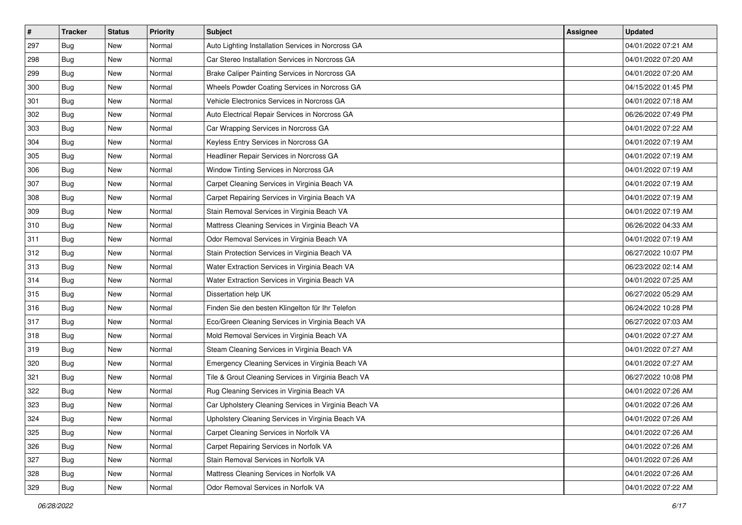| $\vert$ # | <b>Tracker</b> | <b>Status</b> | Priority | <b>Subject</b>                                        | <b>Assignee</b> | <b>Updated</b>      |
|-----------|----------------|---------------|----------|-------------------------------------------------------|-----------------|---------------------|
| 297       | Bug            | New           | Normal   | Auto Lighting Installation Services in Norcross GA    |                 | 04/01/2022 07:21 AM |
| 298       | Bug            | New           | Normal   | Car Stereo Installation Services in Norcross GA       |                 | 04/01/2022 07:20 AM |
| 299       | Bug            | New           | Normal   | Brake Caliper Painting Services in Norcross GA        |                 | 04/01/2022 07:20 AM |
| 300       | Bug            | New           | Normal   | Wheels Powder Coating Services in Norcross GA         |                 | 04/15/2022 01:45 PM |
| 301       | Bug            | New           | Normal   | Vehicle Electronics Services in Norcross GA           |                 | 04/01/2022 07:18 AM |
| 302       | Bug            | <b>New</b>    | Normal   | Auto Electrical Repair Services in Norcross GA        |                 | 06/26/2022 07:49 PM |
| 303       | Bug            | New           | Normal   | Car Wrapping Services in Norcross GA                  |                 | 04/01/2022 07:22 AM |
| 304       | Bug            | New           | Normal   | Keyless Entry Services in Norcross GA                 |                 | 04/01/2022 07:19 AM |
| 305       | Bug            | New           | Normal   | Headliner Repair Services in Norcross GA              |                 | 04/01/2022 07:19 AM |
| 306       | Bug            | New           | Normal   | Window Tinting Services in Norcross GA                |                 | 04/01/2022 07:19 AM |
| 307       | Bug            | New           | Normal   | Carpet Cleaning Services in Virginia Beach VA         |                 | 04/01/2022 07:19 AM |
| 308       | Bug            | New           | Normal   | Carpet Repairing Services in Virginia Beach VA        |                 | 04/01/2022 07:19 AM |
| 309       | Bug            | New           | Normal   | Stain Removal Services in Virginia Beach VA           |                 | 04/01/2022 07:19 AM |
| 310       | Bug            | New           | Normal   | Mattress Cleaning Services in Virginia Beach VA       |                 | 06/26/2022 04:33 AM |
| 311       | Bug            | New           | Normal   | Odor Removal Services in Virginia Beach VA            |                 | 04/01/2022 07:19 AM |
| 312       | Bug            | New           | Normal   | Stain Protection Services in Virginia Beach VA        |                 | 06/27/2022 10:07 PM |
| 313       | Bug            | New           | Normal   | Water Extraction Services in Virginia Beach VA        |                 | 06/23/2022 02:14 AM |
| 314       | Bug            | New           | Normal   | Water Extraction Services in Virginia Beach VA        |                 | 04/01/2022 07:25 AM |
| 315       | Bug            | New           | Normal   | Dissertation help UK                                  |                 | 06/27/2022 05:29 AM |
| 316       | Bug            | New           | Normal   | Finden Sie den besten Klingelton für Ihr Telefon      |                 | 06/24/2022 10:28 PM |
| 317       | Bug            | New           | Normal   | Eco/Green Cleaning Services in Virginia Beach VA      |                 | 06/27/2022 07:03 AM |
| 318       | Bug            | New           | Normal   | Mold Removal Services in Virginia Beach VA            |                 | 04/01/2022 07:27 AM |
| 319       | Bug            | New           | Normal   | Steam Cleaning Services in Virginia Beach VA          |                 | 04/01/2022 07:27 AM |
| 320       | Bug            | New           | Normal   | Emergency Cleaning Services in Virginia Beach VA      |                 | 04/01/2022 07:27 AM |
| 321       | Bug            | New           | Normal   | Tile & Grout Cleaning Services in Virginia Beach VA   |                 | 06/27/2022 10:08 PM |
| 322       | Bug            | New           | Normal   | Rug Cleaning Services in Virginia Beach VA            |                 | 04/01/2022 07:26 AM |
| 323       | <b>Bug</b>     | New           | Normal   | Car Upholstery Cleaning Services in Virginia Beach VA |                 | 04/01/2022 07:26 AM |
| 324       | Bug            | New           | Normal   | Upholstery Cleaning Services in Virginia Beach VA     |                 | 04/01/2022 07:26 AM |
| 325       | Bug            | New           | Normal   | Carpet Cleaning Services in Norfolk VA                |                 | 04/01/2022 07:26 AM |
| 326       | <b>Bug</b>     | New           | Normal   | Carpet Repairing Services in Norfolk VA               |                 | 04/01/2022 07:26 AM |
| 327       | Bug            | New           | Normal   | Stain Removal Services in Norfolk VA                  |                 | 04/01/2022 07:26 AM |
| 328       | <b>Bug</b>     | New           | Normal   | Mattress Cleaning Services in Norfolk VA              |                 | 04/01/2022 07:26 AM |
| 329       | <b>Bug</b>     | New           | Normal   | Odor Removal Services in Norfolk VA                   |                 | 04/01/2022 07:22 AM |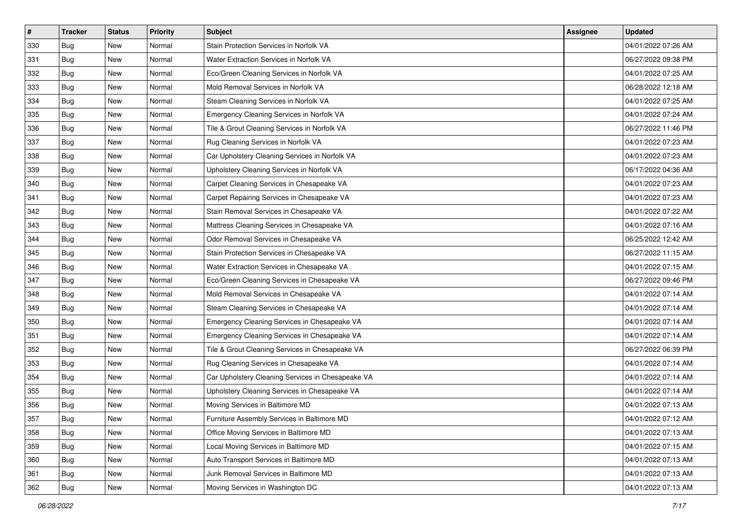| $\vert$ # | <b>Tracker</b> | <b>Status</b> | <b>Priority</b> | <b>Subject</b>                                    | <b>Assignee</b> | <b>Updated</b>      |
|-----------|----------------|---------------|-----------------|---------------------------------------------------|-----------------|---------------------|
| 330       | <b>Bug</b>     | New           | Normal          | Stain Protection Services in Norfolk VA           |                 | 04/01/2022 07:26 AM |
| 331       | Bug            | New           | Normal          | Water Extraction Services in Norfolk VA           |                 | 06/27/2022 09:38 PM |
| 332       | Bug            | New           | Normal          | Eco/Green Cleaning Services in Norfolk VA         |                 | 04/01/2022 07:25 AM |
| 333       | <b>Bug</b>     | New           | Normal          | Mold Removal Services in Norfolk VA               |                 | 06/28/2022 12:18 AM |
| 334       | Bug            | New           | Normal          | Steam Cleaning Services in Norfolk VA             |                 | 04/01/2022 07:25 AM |
| 335       | <b>Bug</b>     | New           | Normal          | Emergency Cleaning Services in Norfolk VA         |                 | 04/01/2022 07:24 AM |
| 336       | <b>Bug</b>     | New           | Normal          | Tile & Grout Cleaning Services in Norfolk VA      |                 | 06/27/2022 11:46 PM |
| 337       | Bug            | New           | Normal          | Rug Cleaning Services in Norfolk VA               |                 | 04/01/2022 07:23 AM |
| 338       | <b>Bug</b>     | New           | Normal          | Car Upholstery Cleaning Services in Norfolk VA    |                 | 04/01/2022 07:23 AM |
| 339       | Bug            | New           | Normal          | Upholstery Cleaning Services in Norfolk VA        |                 | 06/17/2022 04:36 AM |
| 340       | Bug            | New           | Normal          | Carpet Cleaning Services in Chesapeake VA         |                 | 04/01/2022 07:23 AM |
| 341       | <b>Bug</b>     | New           | Normal          | Carpet Repairing Services in Chesapeake VA        |                 | 04/01/2022 07:23 AM |
| 342       | Bug            | New           | Normal          | Stain Removal Services in Chesapeake VA           |                 | 04/01/2022 07:22 AM |
| 343       | Bug            | New           | Normal          | Mattress Cleaning Services in Chesapeake VA       |                 | 04/01/2022 07:16 AM |
| 344       | <b>Bug</b>     | New           | Normal          | Odor Removal Services in Chesapeake VA            |                 | 06/25/2022 12:42 AM |
| 345       | <b>Bug</b>     | New           | Normal          | Stain Protection Services in Chesapeake VA        |                 | 06/27/2022 11:15 AM |
| 346       | <b>Bug</b>     | New           | Normal          | Water Extraction Services in Chesapeake VA        |                 | 04/01/2022 07:15 AM |
| 347       | Bug            | New           | Normal          | Eco/Green Cleaning Services in Chesapeake VA      |                 | 06/27/2022 09:46 PM |
| 348       | <b>Bug</b>     | New           | Normal          | Mold Removal Services in Chesapeake VA            |                 | 04/01/2022 07:14 AM |
| 349       | <b>Bug</b>     | New           | Normal          | Steam Cleaning Services in Chesapeake VA          |                 | 04/01/2022 07:14 AM |
| 350       | Bug            | New           | Normal          | Emergency Cleaning Services in Chesapeake VA      |                 | 04/01/2022 07:14 AM |
| 351       | <b>Bug</b>     | New           | Normal          | Emergency Cleaning Services in Chesapeake VA      |                 | 04/01/2022 07:14 AM |
| 352       | Bug            | New           | Normal          | Tile & Grout Cleaning Services in Chesapeake VA   |                 | 06/27/2022 06:39 PM |
| 353       | <b>Bug</b>     | New           | Normal          | Rug Cleaning Services in Chesapeake VA            |                 | 04/01/2022 07:14 AM |
| 354       | <b>Bug</b>     | New           | Normal          | Car Upholstery Cleaning Services in Chesapeake VA |                 | 04/01/2022 07:14 AM |
| 355       | <b>Bug</b>     | New           | Normal          | Upholstery Cleaning Services in Chesapeake VA     |                 | 04/01/2022 07:14 AM |
| 356       | Bug            | New           | Normal          | Moving Services in Baltimore MD                   |                 | 04/01/2022 07:13 AM |
| 357       | Bug            | New           | Normal          | Furniture Assembly Services in Baltimore MD       |                 | 04/01/2022 07:12 AM |
| 358       | Bug            | New           | Normal          | Office Moving Services in Baltimore MD            |                 | 04/01/2022 07:13 AM |
| 359       | <b>Bug</b>     | New           | Normal          | Local Moving Services in Baltimore MD             |                 | 04/01/2022 07:15 AM |
| 360       | Bug            | New           | Normal          | Auto Transport Services in Baltimore MD           |                 | 04/01/2022 07:13 AM |
| 361       | <b>Bug</b>     | New           | Normal          | Junk Removal Services in Baltimore MD             |                 | 04/01/2022 07:13 AM |
| 362       | Bug            | New           | Normal          | Moving Services in Washington DC                  |                 | 04/01/2022 07:13 AM |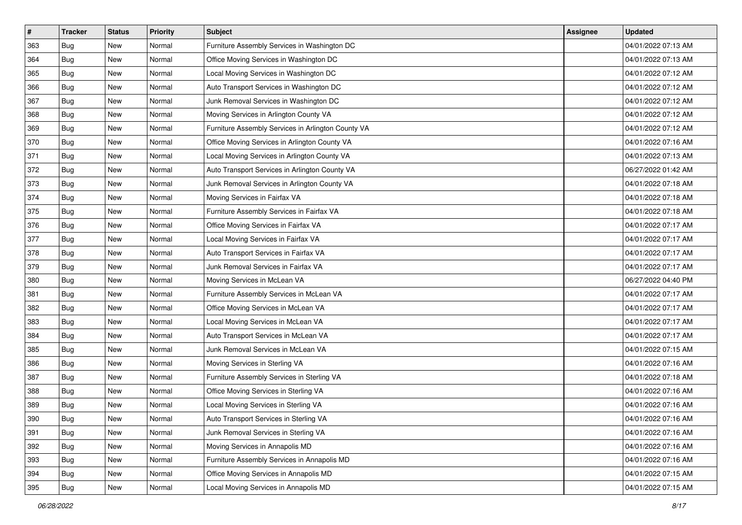| $\vert$ # | <b>Tracker</b> | <b>Status</b> | Priority | <b>Subject</b>                                     | <b>Assignee</b> | <b>Updated</b>      |
|-----------|----------------|---------------|----------|----------------------------------------------------|-----------------|---------------------|
| 363       | Bug            | New           | Normal   | Furniture Assembly Services in Washington DC       |                 | 04/01/2022 07:13 AM |
| 364       | Bug            | New           | Normal   | Office Moving Services in Washington DC            |                 | 04/01/2022 07:13 AM |
| 365       | Bug            | New           | Normal   | Local Moving Services in Washington DC             |                 | 04/01/2022 07:12 AM |
| 366       | Bug            | New           | Normal   | Auto Transport Services in Washington DC           |                 | 04/01/2022 07:12 AM |
| 367       | Bug            | New           | Normal   | Junk Removal Services in Washington DC             |                 | 04/01/2022 07:12 AM |
| 368       | Bug            | New           | Normal   | Moving Services in Arlington County VA             |                 | 04/01/2022 07:12 AM |
| 369       | Bug            | New           | Normal   | Furniture Assembly Services in Arlington County VA |                 | 04/01/2022 07:12 AM |
| 370       | Bug            | New           | Normal   | Office Moving Services in Arlington County VA      |                 | 04/01/2022 07:16 AM |
| 371       | Bug            | New           | Normal   | Local Moving Services in Arlington County VA       |                 | 04/01/2022 07:13 AM |
| 372       | Bug            | New           | Normal   | Auto Transport Services in Arlington County VA     |                 | 06/27/2022 01:42 AM |
| 373       | Bug            | New           | Normal   | Junk Removal Services in Arlington County VA       |                 | 04/01/2022 07:18 AM |
| 374       | <b>Bug</b>     | New           | Normal   | Moving Services in Fairfax VA                      |                 | 04/01/2022 07:18 AM |
| 375       | Bug            | New           | Normal   | Furniture Assembly Services in Fairfax VA          |                 | 04/01/2022 07:18 AM |
| 376       | Bug            | New           | Normal   | Office Moving Services in Fairfax VA               |                 | 04/01/2022 07:17 AM |
| 377       | Bug            | New           | Normal   | Local Moving Services in Fairfax VA                |                 | 04/01/2022 07:17 AM |
| 378       | Bug            | New           | Normal   | Auto Transport Services in Fairfax VA              |                 | 04/01/2022 07:17 AM |
| 379       | <b>Bug</b>     | New           | Normal   | Junk Removal Services in Fairfax VA                |                 | 04/01/2022 07:17 AM |
| 380       | Bug            | New           | Normal   | Moving Services in McLean VA                       |                 | 06/27/2022 04:40 PM |
| 381       | Bug            | New           | Normal   | Furniture Assembly Services in McLean VA           |                 | 04/01/2022 07:17 AM |
| 382       | <b>Bug</b>     | New           | Normal   | Office Moving Services in McLean VA                |                 | 04/01/2022 07:17 AM |
| 383       | Bug            | New           | Normal   | Local Moving Services in McLean VA                 |                 | 04/01/2022 07:17 AM |
| 384       | Bug            | New           | Normal   | Auto Transport Services in McLean VA               |                 | 04/01/2022 07:17 AM |
| 385       | Bug            | New           | Normal   | Junk Removal Services in McLean VA                 |                 | 04/01/2022 07:15 AM |
| 386       | Bug            | New           | Normal   | Moving Services in Sterling VA                     |                 | 04/01/2022 07:16 AM |
| 387       | Bug            | New           | Normal   | Furniture Assembly Services in Sterling VA         |                 | 04/01/2022 07:18 AM |
| 388       | Bug            | New           | Normal   | Office Moving Services in Sterling VA              |                 | 04/01/2022 07:16 AM |
| 389       | Bug            | New           | Normal   | Local Moving Services in Sterling VA               |                 | 04/01/2022 07:16 AM |
| 390       | Bug            | New           | Normal   | Auto Transport Services in Sterling VA             |                 | 04/01/2022 07:16 AM |
| 391       | Bug            | New           | Normal   | Junk Removal Services in Sterling VA               |                 | 04/01/2022 07:16 AM |
| 392       | <b>Bug</b>     | New           | Normal   | Moving Services in Annapolis MD                    |                 | 04/01/2022 07:16 AM |
| 393       | Bug            | New           | Normal   | Furniture Assembly Services in Annapolis MD        |                 | 04/01/2022 07:16 AM |
| 394       | <b>Bug</b>     | New           | Normal   | Office Moving Services in Annapolis MD             |                 | 04/01/2022 07:15 AM |
| 395       | <b>Bug</b>     | New           | Normal   | Local Moving Services in Annapolis MD              |                 | 04/01/2022 07:15 AM |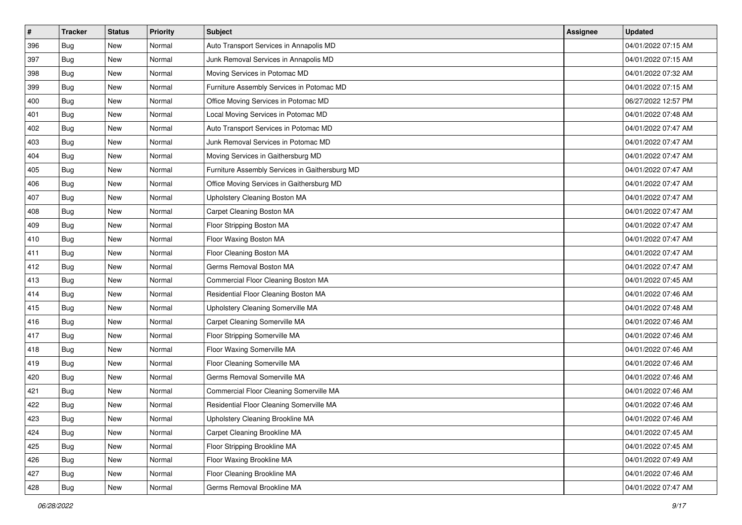| $\vert$ # | <b>Tracker</b> | <b>Status</b> | Priority | <b>Subject</b>                                 | <b>Assignee</b> | <b>Updated</b>      |
|-----------|----------------|---------------|----------|------------------------------------------------|-----------------|---------------------|
| 396       | Bug            | New           | Normal   | Auto Transport Services in Annapolis MD        |                 | 04/01/2022 07:15 AM |
| 397       | Bug            | New           | Normal   | Junk Removal Services in Annapolis MD          |                 | 04/01/2022 07:15 AM |
| 398       | Bug            | New           | Normal   | Moving Services in Potomac MD                  |                 | 04/01/2022 07:32 AM |
| 399       | Bug            | New           | Normal   | Furniture Assembly Services in Potomac MD      |                 | 04/01/2022 07:15 AM |
| 400       | Bug            | New           | Normal   | Office Moving Services in Potomac MD           |                 | 06/27/2022 12:57 PM |
| 401       | Bug            | New           | Normal   | Local Moving Services in Potomac MD            |                 | 04/01/2022 07:48 AM |
| 402       | Bug            | New           | Normal   | Auto Transport Services in Potomac MD          |                 | 04/01/2022 07:47 AM |
| 403       | Bug            | New           | Normal   | Junk Removal Services in Potomac MD            |                 | 04/01/2022 07:47 AM |
| 404       | Bug            | New           | Normal   | Moving Services in Gaithersburg MD             |                 | 04/01/2022 07:47 AM |
| 405       | Bug            | New           | Normal   | Furniture Assembly Services in Gaithersburg MD |                 | 04/01/2022 07:47 AM |
| 406       | <b>Bug</b>     | New           | Normal   | Office Moving Services in Gaithersburg MD      |                 | 04/01/2022 07:47 AM |
| 407       | <b>Bug</b>     | New           | Normal   | Upholstery Cleaning Boston MA                  |                 | 04/01/2022 07:47 AM |
| 408       | Bug            | New           | Normal   | Carpet Cleaning Boston MA                      |                 | 04/01/2022 07:47 AM |
| 409       | Bug            | New           | Normal   | Floor Stripping Boston MA                      |                 | 04/01/2022 07:47 AM |
| 410       | Bug            | New           | Normal   | Floor Waxing Boston MA                         |                 | 04/01/2022 07:47 AM |
| 411       | Bug            | New           | Normal   | Floor Cleaning Boston MA                       |                 | 04/01/2022 07:47 AM |
| 412       | <b>Bug</b>     | New           | Normal   | Germs Removal Boston MA                        |                 | 04/01/2022 07:47 AM |
| 413       | Bug            | New           | Normal   | Commercial Floor Cleaning Boston MA            |                 | 04/01/2022 07:45 AM |
| 414       | Bug            | New           | Normal   | Residential Floor Cleaning Boston MA           |                 | 04/01/2022 07:46 AM |
| 415       | Bug            | New           | Normal   | Upholstery Cleaning Somerville MA              |                 | 04/01/2022 07:48 AM |
| 416       | Bug            | New           | Normal   | Carpet Cleaning Somerville MA                  |                 | 04/01/2022 07:46 AM |
| 417       | Bug            | New           | Normal   | Floor Stripping Somerville MA                  |                 | 04/01/2022 07:46 AM |
| 418       | Bug            | New           | Normal   | Floor Waxing Somerville MA                     |                 | 04/01/2022 07:46 AM |
| 419       | Bug            | New           | Normal   | Floor Cleaning Somerville MA                   |                 | 04/01/2022 07:46 AM |
| 420       | Bug            | New           | Normal   | Germs Removal Somerville MA                    |                 | 04/01/2022 07:46 AM |
| 421       | Bug            | New           | Normal   | Commercial Floor Cleaning Somerville MA        |                 | 04/01/2022 07:46 AM |
| 422       | Bug            | New           | Normal   | Residential Floor Cleaning Somerville MA       |                 | 04/01/2022 07:46 AM |
| 423       | Bug            | New           | Normal   | Upholstery Cleaning Brookline MA               |                 | 04/01/2022 07:46 AM |
| 424       | Bug            | New           | Normal   | Carpet Cleaning Brookline MA                   |                 | 04/01/2022 07:45 AM |
| 425       | Bug            | New           | Normal   | Floor Stripping Brookline MA                   |                 | 04/01/2022 07:45 AM |
| 426       | Bug            | New           | Normal   | Floor Waxing Brookline MA                      |                 | 04/01/2022 07:49 AM |
| 427       | <b>Bug</b>     | New           | Normal   | Floor Cleaning Brookline MA                    |                 | 04/01/2022 07:46 AM |
| 428       | <b>Bug</b>     | New           | Normal   | Germs Removal Brookline MA                     |                 | 04/01/2022 07:47 AM |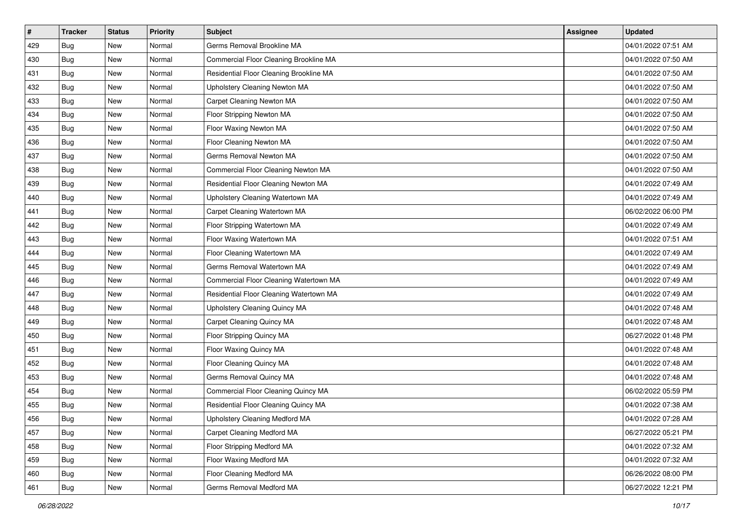| $\pmb{\#}$ | Tracker    | <b>Status</b> | Priority | Subject                                 | Assignee | <b>Updated</b>      |
|------------|------------|---------------|----------|-----------------------------------------|----------|---------------------|
| 429        | Bug        | New           | Normal   | Germs Removal Brookline MA              |          | 04/01/2022 07:51 AM |
| 430        | Bug        | <b>New</b>    | Normal   | Commercial Floor Cleaning Brookline MA  |          | 04/01/2022 07:50 AM |
| 431        | Bug        | New           | Normal   | Residential Floor Cleaning Brookline MA |          | 04/01/2022 07:50 AM |
| 432        | <b>Bug</b> | New           | Normal   | Upholstery Cleaning Newton MA           |          | 04/01/2022 07:50 AM |
| 433        | <b>Bug</b> | <b>New</b>    | Normal   | Carpet Cleaning Newton MA               |          | 04/01/2022 07:50 AM |
| 434        | Bug        | New           | Normal   | Floor Stripping Newton MA               |          | 04/01/2022 07:50 AM |
| 435        | <b>Bug</b> | New           | Normal   | Floor Waxing Newton MA                  |          | 04/01/2022 07:50 AM |
| 436        | Bug        | New           | Normal   | Floor Cleaning Newton MA                |          | 04/01/2022 07:50 AM |
| 437        | Bug        | New           | Normal   | Germs Removal Newton MA                 |          | 04/01/2022 07:50 AM |
| 438        | <b>Bug</b> | <b>New</b>    | Normal   | Commercial Floor Cleaning Newton MA     |          | 04/01/2022 07:50 AM |
| 439        | Bug        | New           | Normal   | Residential Floor Cleaning Newton MA    |          | 04/01/2022 07:49 AM |
| 440        | <b>Bug</b> | New           | Normal   | Upholstery Cleaning Watertown MA        |          | 04/01/2022 07:49 AM |
| 441        | Bug        | <b>New</b>    | Normal   | Carpet Cleaning Watertown MA            |          | 06/02/2022 06:00 PM |
| 442        | Bug        | <b>New</b>    | Normal   | Floor Stripping Watertown MA            |          | 04/01/2022 07:49 AM |
| 443        | <b>Bug</b> | <b>New</b>    | Normal   | Floor Waxing Watertown MA               |          | 04/01/2022 07:51 AM |
| 444        | Bug        | New           | Normal   | Floor Cleaning Watertown MA             |          | 04/01/2022 07:49 AM |
| 445        | <b>Bug</b> | New           | Normal   | Germs Removal Watertown MA              |          | 04/01/2022 07:49 AM |
| 446        | Bug        | <b>New</b>    | Normal   | Commercial Floor Cleaning Watertown MA  |          | 04/01/2022 07:49 AM |
| 447        | Bug        | New           | Normal   | Residential Floor Cleaning Watertown MA |          | 04/01/2022 07:49 AM |
| 448        | <b>Bug</b> | New           | Normal   | Upholstery Cleaning Quincy MA           |          | 04/01/2022 07:48 AM |
| 449        | Bug        | New           | Normal   | Carpet Cleaning Quincy MA               |          | 04/01/2022 07:48 AM |
| 450        | Bug        | New           | Normal   | Floor Stripping Quincy MA               |          | 06/27/2022 01:48 PM |
| 451        | Bug        | <b>New</b>    | Normal   | Floor Waxing Quincy MA                  |          | 04/01/2022 07:48 AM |
| 452        | Bug        | New           | Normal   | Floor Cleaning Quincy MA                |          | 04/01/2022 07:48 AM |
| 453        | <b>Bug</b> | New           | Normal   | Germs Removal Quincy MA                 |          | 04/01/2022 07:48 AM |
| 454        | Bug        | New           | Normal   | Commercial Floor Cleaning Quincy MA     |          | 06/02/2022 05:59 PM |
| 455        | Bug        | New           | Normal   | Residential Floor Cleaning Quincy MA    |          | 04/01/2022 07:38 AM |
| 456        | Bug        | New           | Normal   | Upholstery Cleaning Medford MA          |          | 04/01/2022 07:28 AM |
| 457        | Bug        | New           | Normal   | Carpet Cleaning Medford MA              |          | 06/27/2022 05:21 PM |
| 458        | Bug        | New           | Normal   | Floor Stripping Medford MA              |          | 04/01/2022 07:32 AM |
| 459        | Bug        | New           | Normal   | Floor Waxing Medford MA                 |          | 04/01/2022 07:32 AM |
| 460        | <b>Bug</b> | New           | Normal   | Floor Cleaning Medford MA               |          | 06/26/2022 08:00 PM |
| 461        | <b>Bug</b> | New           | Normal   | Germs Removal Medford MA                |          | 06/27/2022 12:21 PM |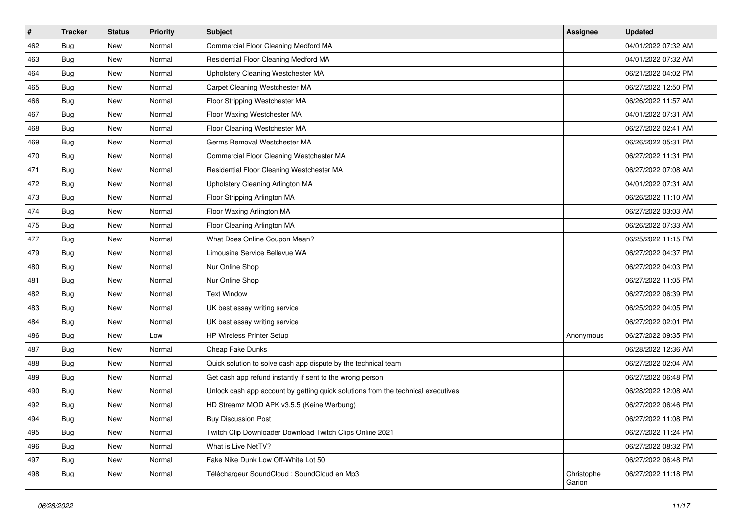| $\pmb{\#}$ | Tracker    | <b>Status</b> | Priority | Subject                                                                          | <b>Assignee</b>      | <b>Updated</b>      |
|------------|------------|---------------|----------|----------------------------------------------------------------------------------|----------------------|---------------------|
| 462        | Bug        | New           | Normal   | Commercial Floor Cleaning Medford MA                                             |                      | 04/01/2022 07:32 AM |
| 463        | Bug        | New           | Normal   | Residential Floor Cleaning Medford MA                                            |                      | 04/01/2022 07:32 AM |
| 464        | Bug        | New           | Normal   | Upholstery Cleaning Westchester MA                                               |                      | 06/21/2022 04:02 PM |
| 465        | <b>Bug</b> | New           | Normal   | Carpet Cleaning Westchester MA                                                   |                      | 06/27/2022 12:50 PM |
| 466        | Bug        | New           | Normal   | Floor Stripping Westchester MA                                                   |                      | 06/26/2022 11:57 AM |
| 467        | Bug        | New           | Normal   | Floor Waxing Westchester MA                                                      |                      | 04/01/2022 07:31 AM |
| 468        | <b>Bug</b> | New           | Normal   | Floor Cleaning Westchester MA                                                    |                      | 06/27/2022 02:41 AM |
| 469        | <b>Bug</b> | New           | Normal   | Germs Removal Westchester MA                                                     |                      | 06/26/2022 05:31 PM |
| 470        | Bug        | New           | Normal   | Commercial Floor Cleaning Westchester MA                                         |                      | 06/27/2022 11:31 PM |
| 471        | Bug        | New           | Normal   | Residential Floor Cleaning Westchester MA                                        |                      | 06/27/2022 07:08 AM |
| 472        | Bug        | New           | Normal   | Upholstery Cleaning Arlington MA                                                 |                      | 04/01/2022 07:31 AM |
| 473        | <b>Bug</b> | New           | Normal   | Floor Stripping Arlington MA                                                     |                      | 06/26/2022 11:10 AM |
| 474        | Bug        | New           | Normal   | Floor Waxing Arlington MA                                                        |                      | 06/27/2022 03:03 AM |
| 475        | Bug        | New           | Normal   | Floor Cleaning Arlington MA                                                      |                      | 06/26/2022 07:33 AM |
| 477        | <b>Bug</b> | New           | Normal   | What Does Online Coupon Mean?                                                    |                      | 06/25/2022 11:15 PM |
| 479        | Bug        | New           | Normal   | Limousine Service Bellevue WA                                                    |                      | 06/27/2022 04:37 PM |
| 480        | <b>Bug</b> | New           | Normal   | Nur Online Shop                                                                  |                      | 06/27/2022 04:03 PM |
| 481        | Bug        | New           | Normal   | Nur Online Shop                                                                  |                      | 06/27/2022 11:05 PM |
| 482        | Bug        | New           | Normal   | <b>Text Window</b>                                                               |                      | 06/27/2022 06:39 PM |
| 483        | Bug        | New           | Normal   | UK best essay writing service                                                    |                      | 06/25/2022 04:05 PM |
| 484        | Bug        | New           | Normal   | UK best essay writing service                                                    |                      | 06/27/2022 02:01 PM |
| 486        | Bug        | New           | Low      | HP Wireless Printer Setup                                                        | Anonymous            | 06/27/2022 09:35 PM |
| 487        | Bug        | New           | Normal   | Cheap Fake Dunks                                                                 |                      | 06/28/2022 12:36 AM |
| 488        | Bug        | New           | Normal   | Quick solution to solve cash app dispute by the technical team                   |                      | 06/27/2022 02:04 AM |
| 489        | <b>Bug</b> | New           | Normal   | Get cash app refund instantly if sent to the wrong person                        |                      | 06/27/2022 06:48 PM |
| 490        | Bug        | New           | Normal   | Unlock cash app account by getting quick solutions from the technical executives |                      | 06/28/2022 12:08 AM |
| 492        | Bug        | New           | Normal   | HD Streamz MOD APK v3.5.5 (Keine Werbung)                                        |                      | 06/27/2022 06:46 PM |
| 494        | <b>Bug</b> | New           | Normal   | <b>Buy Discussion Post</b>                                                       |                      | 06/27/2022 11:08 PM |
| 495        | Bug        | New           | Normal   | Twitch Clip Downloader Download Twitch Clips Online 2021                         |                      | 06/27/2022 11:24 PM |
| 496        | Bug        | New           | Normal   | What is Live NetTV?                                                              |                      | 06/27/2022 08:32 PM |
| 497        | Bug        | New           | Normal   | Fake Nike Dunk Low Off-White Lot 50                                              |                      | 06/27/2022 06:48 PM |
| 498        | Bug        | New           | Normal   | Téléchargeur SoundCloud : SoundCloud en Mp3                                      | Christophe<br>Garion | 06/27/2022 11:18 PM |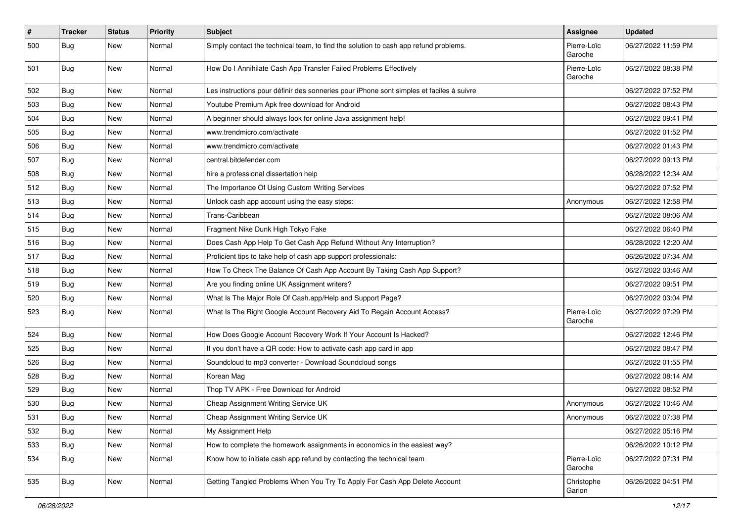| $\pmb{\#}$ | <b>Tracker</b> | <b>Status</b> | <b>Priority</b> | <b>Subject</b>                                                                           | <b>Assignee</b>        | <b>Updated</b>      |
|------------|----------------|---------------|-----------------|------------------------------------------------------------------------------------------|------------------------|---------------------|
| 500        | <b>Bug</b>     | New           | Normal          | Simply contact the technical team, to find the solution to cash app refund problems.     | Pierre-Loïc<br>Garoche | 06/27/2022 11:59 PM |
| 501        | Bug            | New           | Normal          | How Do I Annihilate Cash App Transfer Failed Problems Effectively                        | Pierre-Loïc<br>Garoche | 06/27/2022 08:38 PM |
| 502        | <b>Bug</b>     | New           | Normal          | Les instructions pour définir des sonneries pour iPhone sont simples et faciles à suivre |                        | 06/27/2022 07:52 PM |
| 503        | <b>Bug</b>     | New           | Normal          | Youtube Premium Apk free download for Android                                            |                        | 06/27/2022 08:43 PM |
| 504        | <b>Bug</b>     | New           | Normal          | A beginner should always look for online Java assignment help!                           |                        | 06/27/2022 09:41 PM |
| 505        | Bug            | New           | Normal          | www.trendmicro.com/activate                                                              |                        | 06/27/2022 01:52 PM |
| 506        | <b>Bug</b>     | New           | Normal          | www.trendmicro.com/activate                                                              |                        | 06/27/2022 01:43 PM |
| 507        | Bug            | New           | Normal          | central.bitdefender.com                                                                  |                        | 06/27/2022 09:13 PM |
| 508        | Bug            | New           | Normal          | hire a professional dissertation help                                                    |                        | 06/28/2022 12:34 AM |
| 512        | Bug            | New           | Normal          | The Importance Of Using Custom Writing Services                                          |                        | 06/27/2022 07:52 PM |
| 513        | Bug            | New           | Normal          | Unlock cash app account using the easy steps:                                            | Anonymous              | 06/27/2022 12:58 PM |
| 514        | Bug            | New           | Normal          | Trans-Caribbean                                                                          |                        | 06/27/2022 08:06 AM |
| 515        | Bug            | New           | Normal          | Fragment Nike Dunk High Tokyo Fake                                                       |                        | 06/27/2022 06:40 PM |
| 516        | Bug            | New           | Normal          | Does Cash App Help To Get Cash App Refund Without Any Interruption?                      |                        | 06/28/2022 12:20 AM |
| 517        | Bug            | New           | Normal          | Proficient tips to take help of cash app support professionals:                          |                        | 06/26/2022 07:34 AM |
| 518        | Bug            | New           | Normal          | How To Check The Balance Of Cash App Account By Taking Cash App Support?                 |                        | 06/27/2022 03:46 AM |
| 519        | Bug            | New           | Normal          | Are you finding online UK Assignment writers?                                            |                        | 06/27/2022 09:51 PM |
| 520        | <b>Bug</b>     | New           | Normal          | What Is The Major Role Of Cash.app/Help and Support Page?                                |                        | 06/27/2022 03:04 PM |
| 523        | Bug            | New           | Normal          | What Is The Right Google Account Recovery Aid To Regain Account Access?                  | Pierre-Loïc<br>Garoche | 06/27/2022 07:29 PM |
| 524        | <b>Bug</b>     | New           | Normal          | How Does Google Account Recovery Work If Your Account Is Hacked?                         |                        | 06/27/2022 12:46 PM |
| 525        | Bug            | New           | Normal          | If you don't have a QR code: How to activate cash app card in app                        |                        | 06/27/2022 08:47 PM |
| 526        | Bug            | New           | Normal          | Soundcloud to mp3 converter - Download Soundcloud songs                                  |                        | 06/27/2022 01:55 PM |
| 528        | Bug            | New           | Normal          | Korean Mag                                                                               |                        | 06/27/2022 08:14 AM |
| 529        | Bug            | New           | Normal          | Thop TV APK - Free Download for Android                                                  |                        | 06/27/2022 08:52 PM |
| 530        | <b>Bug</b>     | New           | Normal          | Cheap Assignment Writing Service UK                                                      | Anonymous              | 06/27/2022 10:46 AM |
| 531        | <b>Bug</b>     | New           | Normal          | Cheap Assignment Writing Service UK                                                      | Anonymous              | 06/27/2022 07:38 PM |
| 532        | <b>Bug</b>     | New           | Normal          | My Assignment Help                                                                       |                        | 06/27/2022 05:16 PM |
| 533        | Bug            | New           | Normal          | How to complete the homework assignments in economics in the easiest way?                |                        | 06/26/2022 10:12 PM |
| 534        | <b>Bug</b>     | New           | Normal          | Know how to initiate cash app refund by contacting the technical team                    | Pierre-Loïc<br>Garoche | 06/27/2022 07:31 PM |
| 535        | <b>Bug</b>     | New           | Normal          | Getting Tangled Problems When You Try To Apply For Cash App Delete Account               | Christophe<br>Garion   | 06/26/2022 04:51 PM |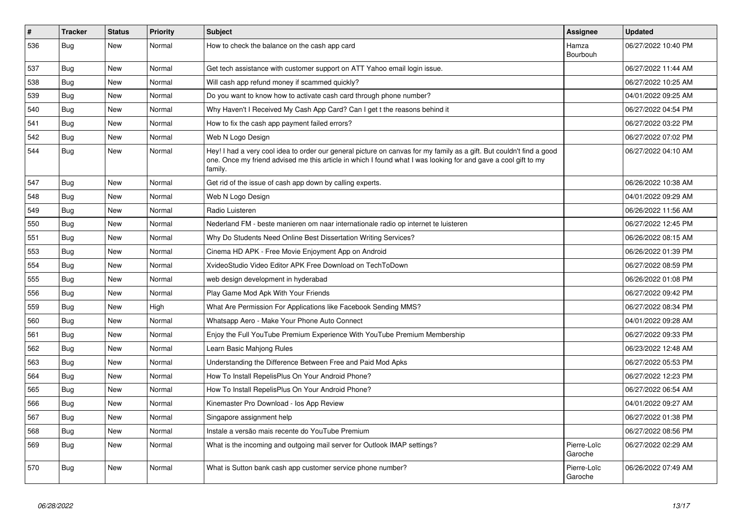| $\vert$ # | <b>Tracker</b> | <b>Status</b> | <b>Priority</b> | <b>Subject</b>                                                                                                                                                                                                                                    | Assignee               | <b>Updated</b>      |
|-----------|----------------|---------------|-----------------|---------------------------------------------------------------------------------------------------------------------------------------------------------------------------------------------------------------------------------------------------|------------------------|---------------------|
| 536       | Bug            | New           | Normal          | How to check the balance on the cash app card                                                                                                                                                                                                     | Hamza<br>Bourbouh      | 06/27/2022 10:40 PM |
| 537       | Bug            | <b>New</b>    | Normal          | Get tech assistance with customer support on ATT Yahoo email login issue.                                                                                                                                                                         |                        | 06/27/2022 11:44 AM |
| 538       | Bug            | New           | Normal          | Will cash app refund money if scammed quickly?                                                                                                                                                                                                    |                        | 06/27/2022 10:25 AM |
| 539       | Bug            | <b>New</b>    | Normal          | Do you want to know how to activate cash card through phone number?                                                                                                                                                                               |                        | 04/01/2022 09:25 AM |
| 540       | <b>Bug</b>     | <b>New</b>    | Normal          | Why Haven't I Received My Cash App Card? Can I get t the reasons behind it                                                                                                                                                                        |                        | 06/27/2022 04:54 PM |
| 541       | Bug            | <b>New</b>    | Normal          | How to fix the cash app payment failed errors?                                                                                                                                                                                                    |                        | 06/27/2022 03:22 PM |
| 542       | Bug            | New           | Normal          | Web N Logo Design                                                                                                                                                                                                                                 |                        | 06/27/2022 07:02 PM |
| 544       | <b>Bug</b>     | <b>New</b>    | Normal          | Hey! I had a very cool idea to order our general picture on canvas for my family as a gift. But couldn't find a good<br>one. Once my friend advised me this article in which I found what I was looking for and gave a cool gift to my<br>family. |                        | 06/27/2022 04:10 AM |
| 547       | Bug            | New           | Normal          | Get rid of the issue of cash app down by calling experts.                                                                                                                                                                                         |                        | 06/26/2022 10:38 AM |
| 548       | Bug            | New           | Normal          | Web N Logo Design                                                                                                                                                                                                                                 |                        | 04/01/2022 09:29 AM |
| 549       | Bug            | <b>New</b>    | Normal          | Radio Luisteren                                                                                                                                                                                                                                   |                        | 06/26/2022 11:56 AM |
| 550       | <b>Bug</b>     | New           | Normal          | Nederland FM - beste manieren om naar internationale radio op internet te luisteren                                                                                                                                                               |                        | 06/27/2022 12:45 PM |
| 551       | Bug            | <b>New</b>    | Normal          | Why Do Students Need Online Best Dissertation Writing Services?                                                                                                                                                                                   |                        | 06/26/2022 08:15 AM |
| 553       | <b>Bug</b>     | <b>New</b>    | Normal          | Cinema HD APK - Free Movie Enjoyment App on Android                                                                                                                                                                                               |                        | 06/26/2022 01:39 PM |
| 554       | Bug            | New           | Normal          | XvideoStudio Video Editor APK Free Download on TechToDown                                                                                                                                                                                         |                        | 06/27/2022 08:59 PM |
| 555       | Bug            | New           | Normal          | web design development in hyderabad                                                                                                                                                                                                               |                        | 06/26/2022 01:08 PM |
| 556       | Bug            | New           | Normal          | Play Game Mod Apk With Your Friends                                                                                                                                                                                                               |                        | 06/27/2022 09:42 PM |
| 559       | Bug            | New           | High            | What Are Permission For Applications like Facebook Sending MMS?                                                                                                                                                                                   |                        | 06/27/2022 08:34 PM |
| 560       | Bug            | New           | Normal          | Whatsapp Aero - Make Your Phone Auto Connect                                                                                                                                                                                                      |                        | 04/01/2022 09:28 AM |
| 561       | Bug            | New           | Normal          | Enjoy the Full YouTube Premium Experience With YouTube Premium Membership                                                                                                                                                                         |                        | 06/27/2022 09:33 PM |
| 562       | Bug            | New           | Normal          | Learn Basic Mahjong Rules                                                                                                                                                                                                                         |                        | 06/23/2022 12:48 AM |
| 563       | Bug            | New           | Normal          | Understanding the Difference Between Free and Paid Mod Apks                                                                                                                                                                                       |                        | 06/27/2022 05:53 PM |
| 564       | Bug            | <b>New</b>    | Normal          | How To Install RepelisPlus On Your Android Phone?                                                                                                                                                                                                 |                        | 06/27/2022 12:23 PM |
| 565       | Bug            | <b>New</b>    | Normal          | How To Install RepelisPlus On Your Android Phone?                                                                                                                                                                                                 |                        | 06/27/2022 06:54 AM |
| 566       | Bug            | New           | Normal          | Kinemaster Pro Download - los App Review                                                                                                                                                                                                          |                        | 04/01/2022 09:27 AM |
| 567       | Bug            | New           | Normal          | Singapore assignment help                                                                                                                                                                                                                         |                        | 06/27/2022 01:38 PM |
| 568       | Bug            | New           | Normal          | Instale a versão mais recente do YouTube Premium                                                                                                                                                                                                  |                        | 06/27/2022 08:56 PM |
| 569       | Bug            | New           | Normal          | What is the incoming and outgoing mail server for Outlook IMAP settings?                                                                                                                                                                          | Pierre-Loïc<br>Garoche | 06/27/2022 02:29 AM |
| 570       | Bug            | <b>New</b>    | Normal          | What is Sutton bank cash app customer service phone number?                                                                                                                                                                                       | Pierre-Loïc<br>Garoche | 06/26/2022 07:49 AM |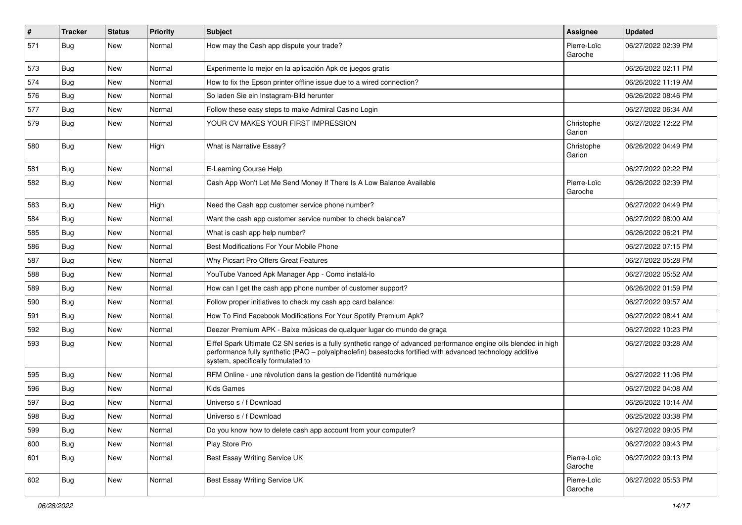| $\sharp$ | <b>Tracker</b> | <b>Status</b> | <b>Priority</b> | <b>Subject</b>                                                                                                                                                                                                                                                        | <b>Assignee</b>        | <b>Updated</b>      |
|----------|----------------|---------------|-----------------|-----------------------------------------------------------------------------------------------------------------------------------------------------------------------------------------------------------------------------------------------------------------------|------------------------|---------------------|
| 571      | Bug            | New           | Normal          | How may the Cash app dispute your trade?                                                                                                                                                                                                                              | Pierre-Loïc<br>Garoche | 06/27/2022 02:39 PM |
| 573      | Bug            | New           | Normal          | Experimente lo mejor en la aplicación Apk de juegos gratis                                                                                                                                                                                                            |                        | 06/26/2022 02:11 PM |
| 574      | Bug            | <b>New</b>    | Normal          | How to fix the Epson printer offline issue due to a wired connection?                                                                                                                                                                                                 |                        | 06/26/2022 11:19 AM |
| 576      | Bug            | <b>New</b>    | Normal          | So laden Sie ein Instagram-Bild herunter                                                                                                                                                                                                                              |                        | 06/26/2022 08:46 PM |
| 577      | Bug            | New           | Normal          | Follow these easy steps to make Admiral Casino Login                                                                                                                                                                                                                  |                        | 06/27/2022 06:34 AM |
| 579      | Bug            | New           | Normal          | YOUR CV MAKES YOUR FIRST IMPRESSION                                                                                                                                                                                                                                   | Christophe<br>Garion   | 06/27/2022 12:22 PM |
| 580      | Bug            | <b>New</b>    | High            | What is Narrative Essay?                                                                                                                                                                                                                                              | Christophe<br>Garion   | 06/26/2022 04:49 PM |
| 581      | Bug            | New           | Normal          | E-Learning Course Help                                                                                                                                                                                                                                                |                        | 06/27/2022 02:22 PM |
| 582      | Bug            | New           | Normal          | Cash App Won't Let Me Send Money If There Is A Low Balance Available                                                                                                                                                                                                  | Pierre-Loïc<br>Garoche | 06/26/2022 02:39 PM |
| 583      | Bug            | <b>New</b>    | High            | Need the Cash app customer service phone number?                                                                                                                                                                                                                      |                        | 06/27/2022 04:49 PM |
| 584      | Bug            | New           | Normal          | Want the cash app customer service number to check balance?                                                                                                                                                                                                           |                        | 06/27/2022 08:00 AM |
| 585      | Bug            | <b>New</b>    | Normal          | What is cash app help number?                                                                                                                                                                                                                                         |                        | 06/26/2022 06:21 PM |
| 586      | Bug            | <b>New</b>    | Normal          | Best Modifications For Your Mobile Phone                                                                                                                                                                                                                              |                        | 06/27/2022 07:15 PM |
| 587      | Bug            | <b>New</b>    | Normal          | Why Picsart Pro Offers Great Features                                                                                                                                                                                                                                 |                        | 06/27/2022 05:28 PM |
| 588      | Bug            | New           | Normal          | YouTube Vanced Apk Manager App - Como instalá-lo                                                                                                                                                                                                                      |                        | 06/27/2022 05:52 AM |
| 589      | Bug            | New           | Normal          | How can I get the cash app phone number of customer support?                                                                                                                                                                                                          |                        | 06/26/2022 01:59 PM |
| 590      | Bug            | <b>New</b>    | Normal          | Follow proper initiatives to check my cash app card balance:                                                                                                                                                                                                          |                        | 06/27/2022 09:57 AM |
| 591      | Bug            | <b>New</b>    | Normal          | How To Find Facebook Modifications For Your Spotify Premium Apk?                                                                                                                                                                                                      |                        | 06/27/2022 08:41 AM |
| 592      | Bug            | <b>New</b>    | Normal          | Deezer Premium APK - Baixe músicas de qualquer lugar do mundo de graça                                                                                                                                                                                                |                        | 06/27/2022 10:23 PM |
| 593      | Bug            | New           | Normal          | Eiffel Spark Ultimate C2 SN series is a fully synthetic range of advanced performance engine oils blended in high<br>performance fully synthetic (PAO - polyalphaolefin) basestocks fortified with advanced technology additive<br>system, specifically formulated to |                        | 06/27/2022 03:28 AM |
| 595      | Bug            | New           | Normal          | RFM Online - une révolution dans la gestion de l'identité numérique                                                                                                                                                                                                   |                        | 06/27/2022 11:06 PM |
| 596      | Bug            | New           | Normal          | <b>Kids Games</b>                                                                                                                                                                                                                                                     |                        | 06/27/2022 04:08 AM |
| 597      | <b>Bug</b>     | <b>New</b>    | Normal          | Universo s / f Download                                                                                                                                                                                                                                               |                        | 06/26/2022 10:14 AM |
| 598      | Bug            | New           | Normal          | Universo s / f Download                                                                                                                                                                                                                                               |                        | 06/25/2022 03:38 PM |
| 599      | Bug            | New           | Normal          | Do you know how to delete cash app account from your computer?                                                                                                                                                                                                        |                        | 06/27/2022 09:05 PM |
| 600      | Bug            | New           | Normal          | Play Store Pro                                                                                                                                                                                                                                                        |                        | 06/27/2022 09:43 PM |
| 601      | Bug            | New           | Normal          | Best Essay Writing Service UK                                                                                                                                                                                                                                         | Pierre-Loïc<br>Garoche | 06/27/2022 09:13 PM |
| 602      | Bug            | New           | Normal          | Best Essay Writing Service UK                                                                                                                                                                                                                                         | Pierre-Loïc<br>Garoche | 06/27/2022 05:53 PM |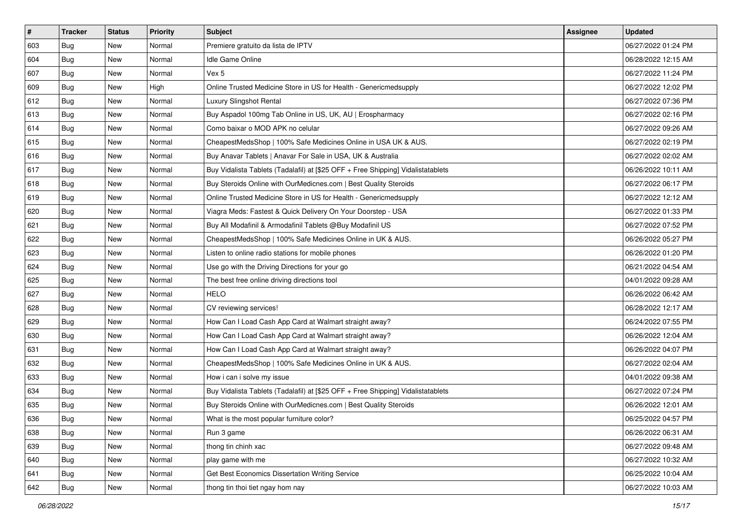| $\vert$ # | <b>Tracker</b> | <b>Status</b> | Priority | Subject                                                                          | Assignee | <b>Updated</b>      |
|-----------|----------------|---------------|----------|----------------------------------------------------------------------------------|----------|---------------------|
| 603       | Bug            | New           | Normal   | Premiere gratuito da lista de IPTV                                               |          | 06/27/2022 01:24 PM |
| 604       | Bug            | New           | Normal   | Idle Game Online                                                                 |          | 06/28/2022 12:15 AM |
| 607       | Bug            | New           | Normal   | Vex 5                                                                            |          | 06/27/2022 11:24 PM |
| 609       | Bug            | <b>New</b>    | High     | Online Trusted Medicine Store in US for Health - Genericmedsupply                |          | 06/27/2022 12:02 PM |
| 612       | Bug            | <b>New</b>    | Normal   | Luxury Slingshot Rental                                                          |          | 06/27/2022 07:36 PM |
| 613       | Bug            | <b>New</b>    | Normal   | Buy Aspadol 100mg Tab Online in US, UK, AU   Erospharmacy                        |          | 06/27/2022 02:16 PM |
| 614       | Bug            | New           | Normal   | Como baixar o MOD APK no celular                                                 |          | 06/27/2022 09:26 AM |
| 615       | Bug            | <b>New</b>    | Normal   | CheapestMedsShop   100% Safe Medicines Online in USA UK & AUS.                   |          | 06/27/2022 02:19 PM |
| 616       | Bug            | <b>New</b>    | Normal   | Buy Anavar Tablets   Anavar For Sale in USA, UK & Australia                      |          | 06/27/2022 02:02 AM |
| 617       | Bug            | New           | Normal   | Buy Vidalista Tablets (Tadalafil) at [\$25 OFF + Free Shipping] Vidalistatablets |          | 06/26/2022 10:11 AM |
| 618       | Bug            | New           | Normal   | Buy Steroids Online with OurMedicnes.com   Best Quality Steroids                 |          | 06/27/2022 06:17 PM |
| 619       | Bug            | New           | Normal   | Online Trusted Medicine Store in US for Health - Genericmedsupply                |          | 06/27/2022 12:12 AM |
| 620       | Bug            | <b>New</b>    | Normal   | Viagra Meds: Fastest & Quick Delivery On Your Doorstep - USA                     |          | 06/27/2022 01:33 PM |
| 621       | Bug            | New           | Normal   | Buy All Modafinil & Armodafinil Tablets @Buy Modafinil US                        |          | 06/27/2022 07:52 PM |
| 622       | <b>Bug</b>     | <b>New</b>    | Normal   | CheapestMedsShop   100% Safe Medicines Online in UK & AUS.                       |          | 06/26/2022 05:27 PM |
| 623       | Bug            | New           | Normal   | Listen to online radio stations for mobile phones                                |          | 06/26/2022 01:20 PM |
| 624       | Bug            | <b>New</b>    | Normal   | Use go with the Driving Directions for your go                                   |          | 06/21/2022 04:54 AM |
| 625       | Bug            | <b>New</b>    | Normal   | The best free online driving directions tool                                     |          | 04/01/2022 09:28 AM |
| 627       | Bug            | New           | Normal   | <b>HELO</b>                                                                      |          | 06/26/2022 06:42 AM |
| 628       | Bug            | New           | Normal   | CV reviewing services!                                                           |          | 06/28/2022 12:17 AM |
| 629       | Bug            | New           | Normal   | How Can I Load Cash App Card at Walmart straight away?                           |          | 06/24/2022 07:55 PM |
| 630       | Bug            | <b>New</b>    | Normal   | How Can I Load Cash App Card at Walmart straight away?                           |          | 06/26/2022 12:04 AM |
| 631       | Bug            | <b>New</b>    | Normal   | How Can I Load Cash App Card at Walmart straight away?                           |          | 06/26/2022 04:07 PM |
| 632       | Bug            | New           | Normal   | CheapestMedsShop   100% Safe Medicines Online in UK & AUS.                       |          | 06/27/2022 02:04 AM |
| 633       | Bug            | New           | Normal   | How i can i solve my issue                                                       |          | 04/01/2022 09:38 AM |
| 634       | Bug            | <b>New</b>    | Normal   | Buy Vidalista Tablets (Tadalafil) at [\$25 OFF + Free Shipping] Vidalistatablets |          | 06/27/2022 07:24 PM |
| 635       | Bug            | New           | Normal   | Buy Steroids Online with OurMedicnes.com   Best Quality Steroids                 |          | 06/26/2022 12:01 AM |
| 636       | Bug            | New           | Normal   | What is the most popular furniture color?                                        |          | 06/25/2022 04:57 PM |
| 638       | Bug            | New           | Normal   | Run 3 game                                                                       |          | 06/26/2022 06:31 AM |
| 639       | Bug            | New           | Normal   | thong tin chinh xac                                                              |          | 06/27/2022 09:48 AM |
| 640       | Bug            | New           | Normal   | play game with me                                                                |          | 06/27/2022 10:32 AM |
| 641       | Bug            | New           | Normal   | Get Best Economics Dissertation Writing Service                                  |          | 06/25/2022 10:04 AM |
| 642       | <b>Bug</b>     | New           | Normal   | thong tin thoi tiet ngay hom nay                                                 |          | 06/27/2022 10:03 AM |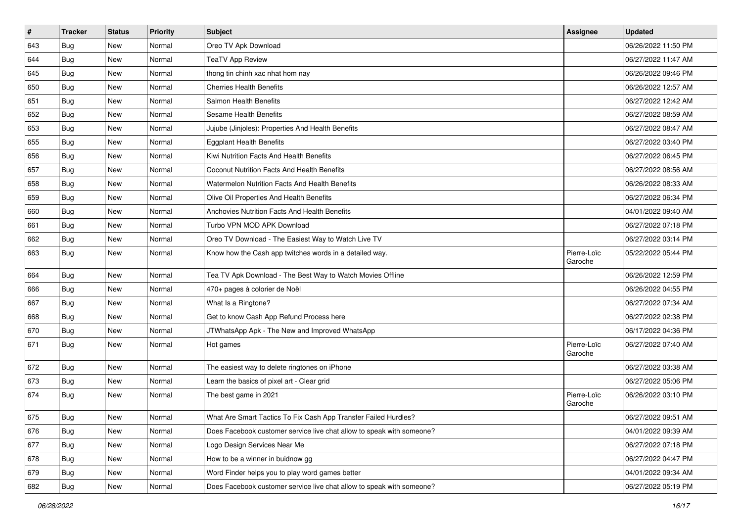| $\pmb{\#}$ | Tracker    | <b>Status</b> | Priority | <b>Subject</b>                                                        | <b>Assignee</b>        | <b>Updated</b>      |
|------------|------------|---------------|----------|-----------------------------------------------------------------------|------------------------|---------------------|
| 643        | Bug        | New           | Normal   | Oreo TV Apk Download                                                  |                        | 06/26/2022 11:50 PM |
| 644        | Bug        | <b>New</b>    | Normal   | <b>TeaTV App Review</b>                                               |                        | 06/27/2022 11:47 AM |
| 645        | Bug        | New           | Normal   | thong tin chinh xac nhat hom nay                                      |                        | 06/26/2022 09:46 PM |
| 650        | <b>Bug</b> | New           | Normal   | <b>Cherries Health Benefits</b>                                       |                        | 06/26/2022 12:57 AM |
| 651        | <b>Bug</b> | New           | Normal   | Salmon Health Benefits                                                |                        | 06/27/2022 12:42 AM |
| 652        | Bug        | New           | Normal   | <b>Sesame Health Benefits</b>                                         |                        | 06/27/2022 08:59 AM |
| 653        | Bug        | <b>New</b>    | Normal   | Jujube (Jinjoles): Properties And Health Benefits                     |                        | 06/27/2022 08:47 AM |
| 655        | Bug        | New           | Normal   | <b>Eggplant Health Benefits</b>                                       |                        | 06/27/2022 03:40 PM |
| 656        | Bug        | <b>New</b>    | Normal   | Kiwi Nutrition Facts And Health Benefits                              |                        | 06/27/2022 06:45 PM |
| 657        | Bug        | <b>New</b>    | Normal   | Coconut Nutrition Facts And Health Benefits                           |                        | 06/27/2022 08:56 AM |
| 658        | <b>Bug</b> | <b>New</b>    | Normal   | Watermelon Nutrition Facts And Health Benefits                        |                        | 06/26/2022 08:33 AM |
| 659        | Bug        | New           | Normal   | Olive Oil Properties And Health Benefits                              |                        | 06/27/2022 06:34 PM |
| 660        | <b>Bug</b> | <b>New</b>    | Normal   | Anchovies Nutrition Facts And Health Benefits                         |                        | 04/01/2022 09:40 AM |
| 661        | Bug        | <b>New</b>    | Normal   | Turbo VPN MOD APK Download                                            |                        | 06/27/2022 07:18 PM |
| 662        | Bug        | <b>New</b>    | Normal   | Oreo TV Download - The Easiest Way to Watch Live TV                   |                        | 06/27/2022 03:14 PM |
| 663        | Bug        | <b>New</b>    | Normal   | Know how the Cash app twitches words in a detailed way.               | Pierre-Loïc<br>Garoche | 05/22/2022 05:44 PM |
| 664        | Bug        | <b>New</b>    | Normal   | Tea TV Apk Download - The Best Way to Watch Movies Offline            |                        | 06/26/2022 12:59 PM |
| 666        | Bug        | <b>New</b>    | Normal   | 470+ pages à colorier de Noël                                         |                        | 06/26/2022 04:55 PM |
| 667        | Bug        | <b>New</b>    | Normal   | What Is a Ringtone?                                                   |                        | 06/27/2022 07:34 AM |
| 668        | <b>Bug</b> | <b>New</b>    | Normal   | Get to know Cash App Refund Process here                              |                        | 06/27/2022 02:38 PM |
| 670        | Bug        | <b>New</b>    | Normal   | JTWhatsApp Apk - The New and Improved WhatsApp                        |                        | 06/17/2022 04:36 PM |
| 671        | <b>Bug</b> | New           | Normal   | Hot games                                                             | Pierre-Loïc<br>Garoche | 06/27/2022 07:40 AM |
| 672        | Bug        | <b>New</b>    | Normal   | The easiest way to delete ringtones on iPhone                         |                        | 06/27/2022 03:38 AM |
| 673        | <b>Bug</b> | <b>New</b>    | Normal   | Learn the basics of pixel art - Clear grid                            |                        | 06/27/2022 05:06 PM |
| 674        | Bug        | New           | Normal   | The best game in 2021                                                 | Pierre-Loïc<br>Garoche | 06/26/2022 03:10 PM |
| 675        | Bug        | New           | Normal   | What Are Smart Tactics To Fix Cash App Transfer Failed Hurdles?       |                        | 06/27/2022 09:51 AM |
| 676        | Bug        | New           | Normal   | Does Facebook customer service live chat allow to speak with someone? |                        | 04/01/2022 09:39 AM |
| 677        | Bug        | New           | Normal   | Logo Design Services Near Me                                          |                        | 06/27/2022 07:18 PM |
| 678        | Bug        | New           | Normal   | How to be a winner in buidnow gg                                      |                        | 06/27/2022 04:47 PM |
| 679        | Bug        | New           | Normal   | Word Finder helps you to play word games better                       |                        | 04/01/2022 09:34 AM |
| 682        | <b>Bug</b> | New           | Normal   | Does Facebook customer service live chat allow to speak with someone? |                        | 06/27/2022 05:19 PM |